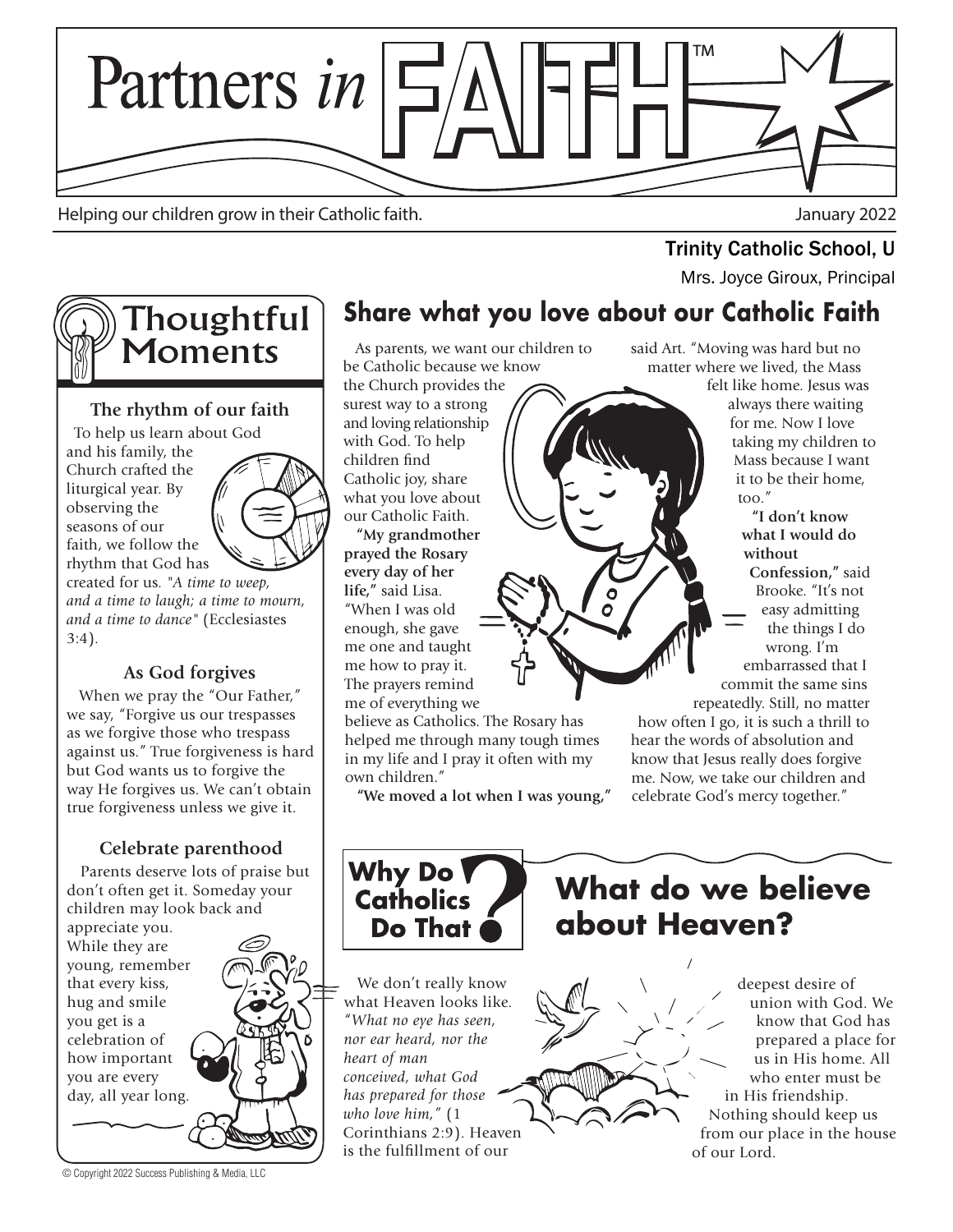

Helping our children grow in their Catholic faith. January 2022

# **Trinity Catholic School, U**<br>Mrs. Joyce Giroux, Principal



#### **The rhythm of our faith**

 To help us learn about God and his family, the Church crafted the liturgical year. By observing the seasons of our faith, we follow the rhythm that God has



created for us. *"A time to weep, and a time to laugh; a time to mourn, and a time to dance"* (Ecclesiastes 3:4).

### **As God forgives**

 When we pray the "Our Father," we say, "Forgive us our trespasses as we forgive those who trespass against us." True forgiveness is hard but God wants us to forgive the way He forgives us. We can't obtain true forgiveness unless we give it.

## **Celebrate parenthood**

Parents deserve lots of praise but don't often get it. Someday your children may look back and

appreciate you. While they are young, remember that every kiss, hug and smile you get is a celebration of how important you are every day, all year long.

© Copyright 2022 Success Publishing & Media, LLC

## **Share what you love about our Catholic Faith**

 As parents, we want our children to be Catholic because we know the Church provides the surest way to a strong and loving relationship

with God. To help children find Catholic joy, share what you love about our Catholic Faith.

 **"My grandmother prayed the Rosary every day of her life,"** said Lisa. "When I was old enough, she gave me one and taught me how to pray it. The prayers remind me of everything we

believe as Catholics. The Rosary has helped me through many tough times in my life and I pray it often with my own children."

**"We moved a lot when I was young,"**

said Art. "Moving was hard but no matter where we lived, the Mass

felt like home. Jesus was always there waiting for me. Now I love taking my children to Mass because I want it to be their home, too."

 **"I don't know what I would do without Confession,"** said Brooke. "It's not easy admitting the things I do wrong. I'm embarrassed that I commit the same sins repeatedly. Still, no matter

how often I go, it is such a thrill to hear the words of absolution and know that Jesus really does forgive me. Now, we take our children and celebrate God's mercy together."



# **What do we believe about Heaven?**

 We don't really know what Heaven looks like. "*What no eye has seen, nor ear heard, nor the heart of man conceived, what God has prepared for those who love him,"* (1 Corinthians 2:9). Heaven is the fulfillment of our

deepest desire of union with God. We know that God has prepared a place for us in His home. All who enter must be in His friendship. Nothing should keep us from our place in the house of our Lord.